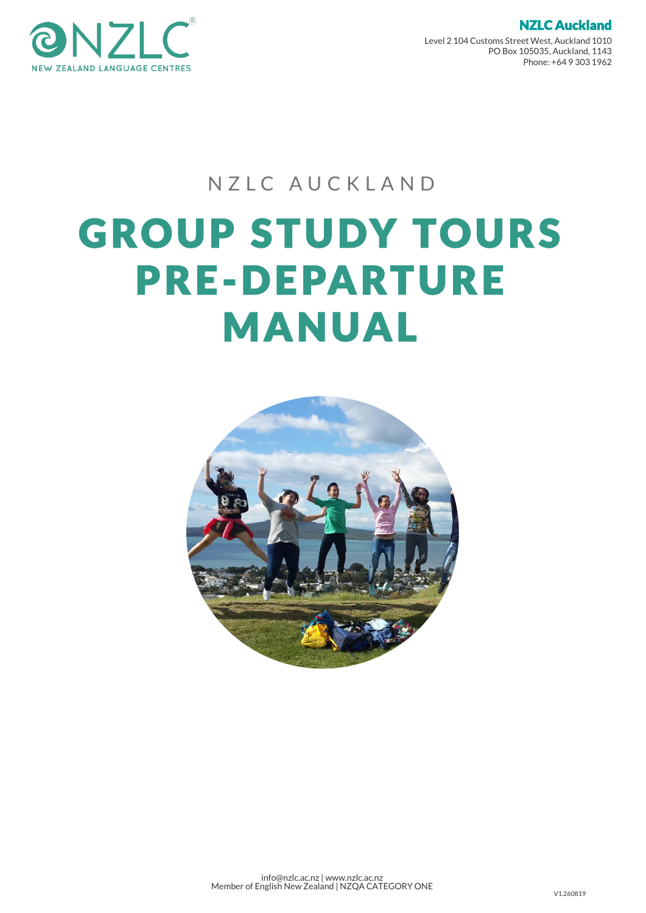

Level 2 104 Customs Street West, Auckland 1010 PO Box 105035, Auckland, 1143 Phone: +64 9 303 1962

NZLC Auckland

# NZLC AUCKLAND

# **GROUP STUDY TOURS** PRE-DEPARTURE **MANUAL**

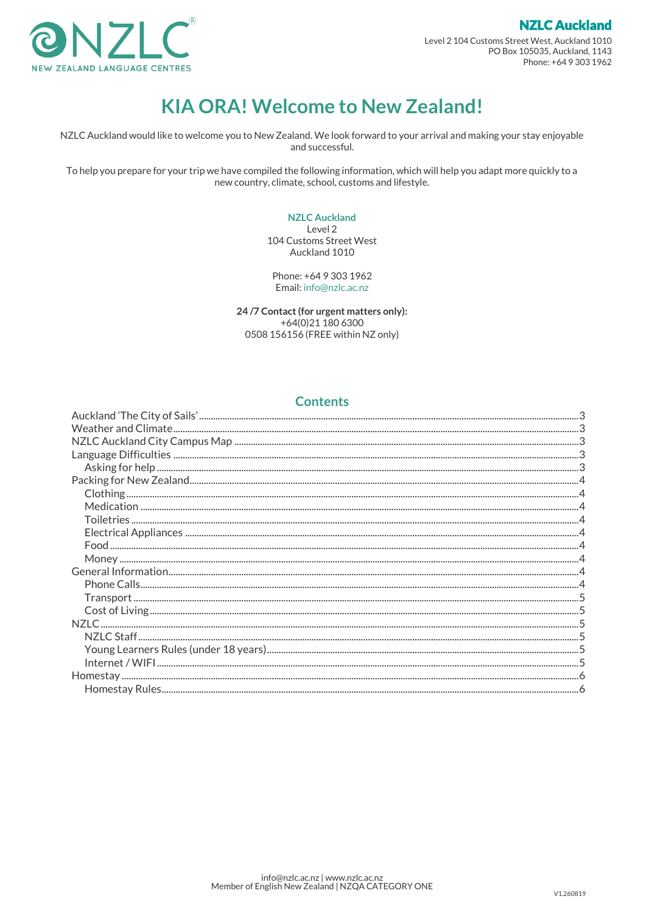

Level 2 104 Customs Street West, Auckland 1010 PO Box 105035, Auckland, 1143 Phone: +64 9 303 1962

**NZLC Auckland** 

# **KIA ORA! Welcome to New Zealand!**

NZLC Auckland would like to welcome you to New Zealand. We look forward to your arrival and making your stay enjoyable and successful.

To help you prepare for your trip we have compiled the following information, which will help you adapt more quickly to a new country, climate, school, customs and lifestyle.

#### **NZLC Auckland**

Level 2 104 Customs Street West Auckland 1010

Phone: +64 9 303 1962 Email: info@nzlc.ac.nz

24/7 Contact (for urgent matters only): +64(0)21 180 6300 0508 156156 (FREE within NZ only)

#### **Contents**

<span id="page-1-0"></span>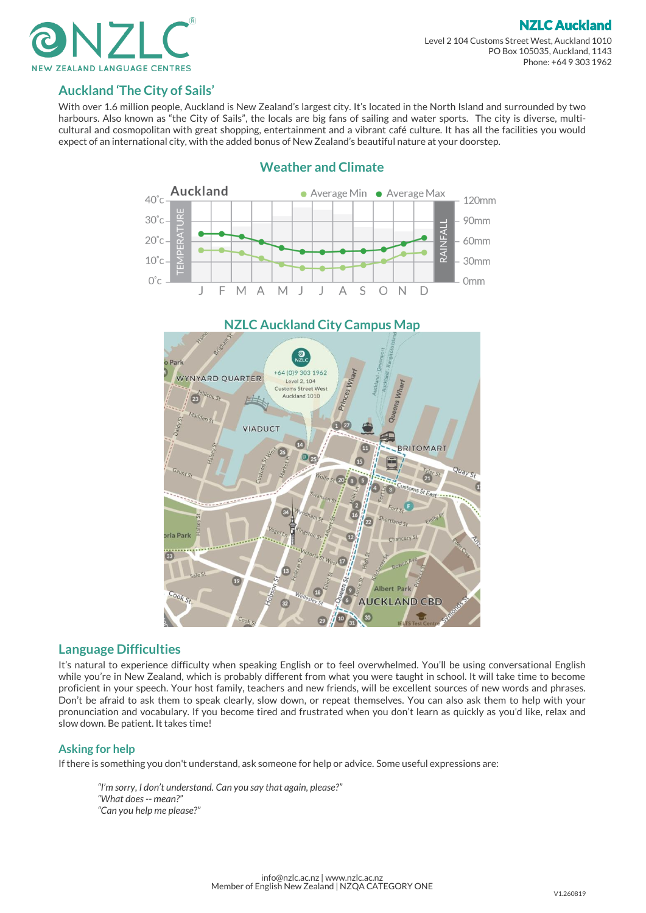



#### **Auckland 'The City of Sails'**

<span id="page-2-0"></span>With over 1.6 million people, Auckland is New Zealand's largest city. It's located in the North Island and surrounded by two harbours. Also known as "the City of Sails", the locals are big fans of sailing and water sports. The city is diverse, multicultural and cosmopolitan with great shopping, entertainment and a vibrant café culture. It has all the facilities you would expect of an international city, with the added bonus of New Zealand's beautiful nature at your doorstep.

<span id="page-2-1"></span>

#### **Weather and Climate**

#### <span id="page-2-2"></span>**Language Difficulties**

It's natural to experience difficulty when speaking English or to feel overwhelmed. You'll be using conversational English while you're in New Zealand, which is probably different from what you were taught in school. It will take time to become proficient in your speech. Your host family, teachers and new friends, will be excellent sources of new words and phrases. Don't be afraid to ask them to speak clearly, slow down, or repeat themselves. You can also ask them to help with your pronunciation and vocabulary. If you become tired and frustrated when you don't learn as quickly as you'd like, relax and slow down. Be patient. It takes time!

#### <span id="page-2-3"></span>**Asking for help**

If there is something you don't understand, ask someone for help or advice. Some useful expressions are:

<span id="page-2-4"></span>*"I'm sorry, I don't understand. Can you say that again, please?" "What does -- mean?" "Can you help me please?"*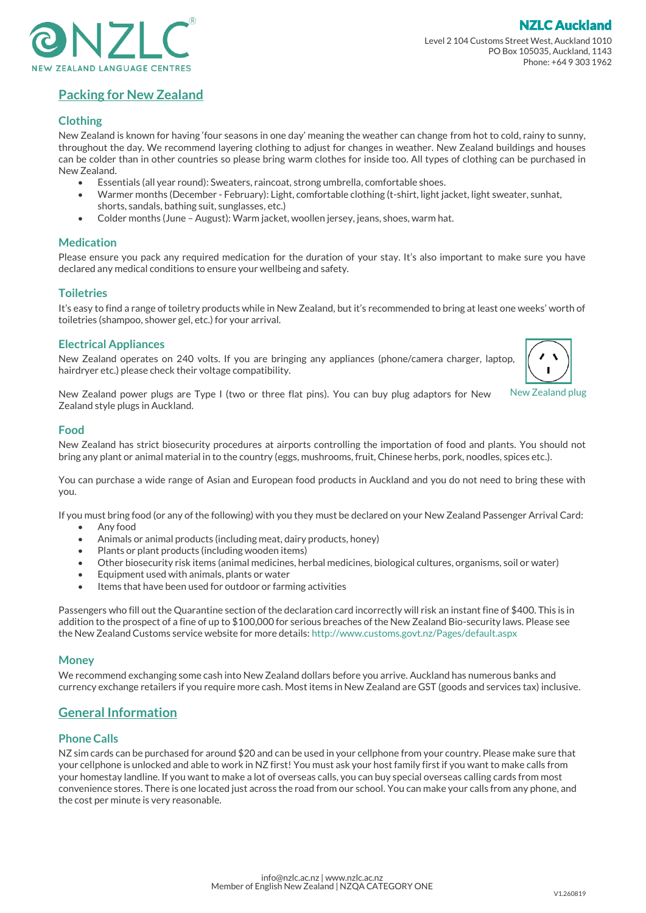

NZLC Auckland

### **Packing for New Zealand**

#### <span id="page-3-0"></span>**Clothing**

New Zealand is known for having 'four seasons in one day' meaning the weather can change from hot to cold, rainy to sunny, throughout the day. We recommend layering clothing to adjust for changes in weather. New Zealand buildings and houses can be colder than in other countries so please bring warm clothes for inside too. All types of clothing can be purchased in New Zealand.

- Essentials (all year round): Sweaters, raincoat, strong umbrella, comfortable shoes.
- Warmer months (December February): Light, comfortable clothing (t-shirt, light jacket, light sweater, sunhat, shorts, sandals, bathing suit, sunglasses, etc.)
- Colder months (June August): Warm jacket, woollen jersey, jeans, shoes, warm hat.

#### <span id="page-3-1"></span>**Medication**

Please ensure you pack any required medication for the duration of your stay. It's also important to make sure you have declared any medical conditions to ensure your wellbeing and safety.

#### <span id="page-3-2"></span>**Toiletries**

It's easy to find a range of toiletry products while in New Zealand, but it's recommended to bring at least one weeks' worth of toiletries (shampoo, shower gel, etc.) for your arrival.

#### <span id="page-3-3"></span>**Electrical Appliances**

New Zealand operates on 240 volts. If you are bringing any appliances (phone/camera charger, laptop, hairdryer etc.) please check their voltage compatibility.



New Zealand power plugs are Type I (two or three flat pins). You can buy plug adaptors for New Zealand style plugs in Auckland.

#### <span id="page-3-4"></span>**Food**

New Zealand has strict biosecurity procedures at airports controlling the importation of food and plants. You should not bring any plant or animal material in to the country (eggs, mushrooms, fruit, Chinese herbs, pork, noodles, spices etc.).

You can purchase a wide range of Asian and European food products in Auckland and you do not need to bring these with you.

If you must bring food (or any of the following) with you they must be declared on your New Zealand Passenger Arrival Card:

- Any food
- Animals or animal products (including meat, dairy products, honey)
- Plants or plant products (including wooden items)
- Other biosecurity risk items (animal medicines, herbal medicines, biological cultures, organisms, soil or water)
- Equipment used with animals, plants or water
- Items that have been used for outdoor or farming activities

Passengers who fill out the Quarantine section of the declaration card incorrectly will risk an instant fine of \$400. This is in addition to the prospect of a fine of up to \$100,000 for serious breaches of the New Zealand Bio-security laws. Please see the New Zealand Customs service website for more details: <http://www.customs.govt.nz/Pages/default.aspx>

#### <span id="page-3-5"></span>**Money**

We recommend exchanging some cash into New Zealand dollars before you arrive. Auckland has numerous banks and currency exchange retailers if you require more cash. Most items in New Zealand are GST (goods and services tax) inclusive.

#### <span id="page-3-6"></span>**General Information**

#### <span id="page-3-7"></span>**Phone Calls**

<span id="page-3-8"></span>NZ sim cards can be purchased for around \$20 and can be used in your cellphone from your country. Please make sure that your cellphone is unlocked and able to work in NZ first! You must ask your host family first if you want to make calls from your homestay landline. If you want to make a lot of overseas calls, you can buy special overseas calling cards from most convenience stores. There is one located just across the road from our school. You can make your calls from any phone, and the cost per minute is very reasonable.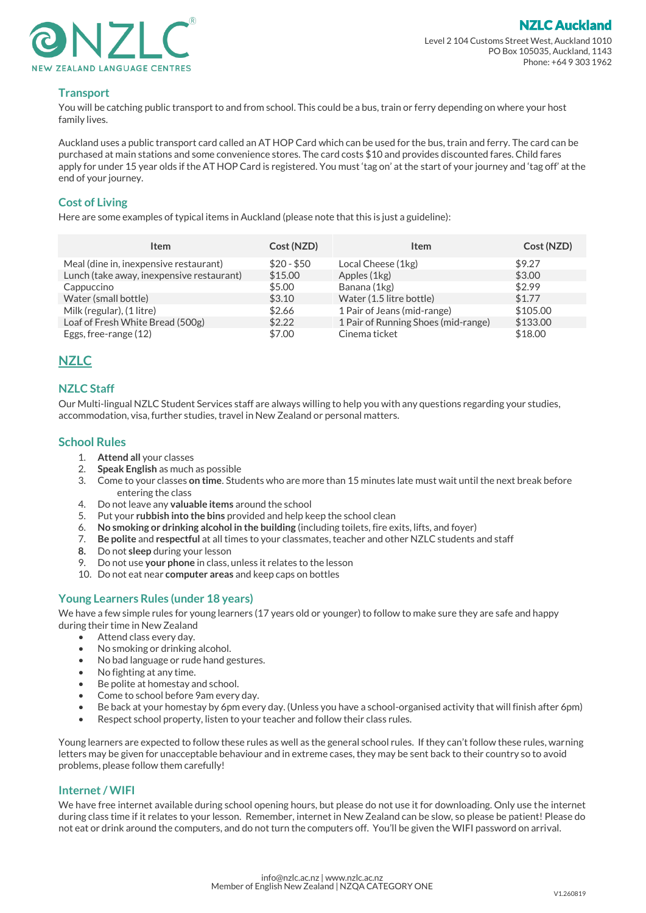

## **Transport**

You will be catching public transport to and from school. This could be a bus, train or ferry depending on where your host family lives.

Auckland uses a public transport card called an AT HOP Card which can be used for the bus, train and ferry. The card can be purchased at main stations and some convenience stores. The card costs \$10 and provides discounted fares. Child fares apply for under 15 year olds if the AT HOP Card is registered. You must 'tag on' at the start of your journey and 'tag off' at the end of your journey.

#### <span id="page-4-0"></span>**Cost of Living**

Here are some examples of typical items in Auckland (please note that this is just a guideline):

| <b>Item</b>                               | Cost (NZD)  | Item                                | Cost (NZD) |
|-------------------------------------------|-------------|-------------------------------------|------------|
| Meal (dine in, inexpensive restaurant)    | $$20 - $50$ | Local Cheese (1kg)                  | \$9.27     |
| Lunch (take away, inexpensive restaurant) | \$15.00     | Apples (1kg)                        | \$3.00     |
| Cappuccino                                | \$5.00      | Banana (1kg)                        | \$2.99     |
| Water (small bottle)                      | \$3.10      | Water (1.5 litre bottle)            | \$1.77     |
| Milk (regular), (1 litre)                 | \$2.66      | 1 Pair of Jeans (mid-range)         | \$105.00   |
| Loaf of Fresh White Bread (500g)          | \$2.22      | 1 Pair of Running Shoes (mid-range) | \$133.00   |
| Eggs, free-range (12)                     | \$7.00      | Cinema ticket                       | \$18.00    |

#### <span id="page-4-1"></span>**NZLC**

#### <span id="page-4-2"></span>**NZLC Staff**

Our Multi-lingual NZLC Student Services staff are always willing to help you with any questions regarding your studies, accommodation, visa, further studies, travel in New Zealand or personal matters.

#### **School Rules**

- 1. **Attend all** your classes
- 2. **Speak English** as much as possible
- 3. Come to your classes **on time**. Students who are more than 15 minutes late must wait until the next break before entering the class
- 4. Do not leave any **valuable items** around the school
- 5. Put your **rubbish into the bins** provided and help keep the school clean
- 6. **No smoking or drinking alcohol in the building** (including toilets, fire exits, lifts, and foyer)
- 7. **Be polite** and **respectful** at all times to your classmates, teacher and other NZLC students and staff
- **8.** Do not **sleep** during your lesson
- 9. Do not use **your phone** in class, unless it relates to the lesson
- 10. Do not eat near **computer areas** and keep caps on bottles

#### <span id="page-4-3"></span>**Young Learners Rules (under 18 years)**

We have a few simple rules for young learners (17 years old or younger) to follow to make sure they are safe and happy during their time in New Zealand

- Attend class every day.
- No smoking or drinking alcohol.
- No bad language or rude hand gestures.
- No fighting at any time.
- Be polite at homestay and school.
- Come to school before 9am every day.
- Be back at your homestay by 6pm every day. (Unless you have a school-organised activity that will finish after 6pm)
- Respect school property, listen to your teacher and follow their class rules.

Young learners are expected to follow these rules as well as the general school rules. If they can't follow these rules, warning letters may be given for unacceptable behaviour and in extreme cases, they may be sent back to their country so to avoid problems, please follow them carefully!

#### <span id="page-4-4"></span>**Internet / WIFI**

<span id="page-4-5"></span>We have free internet available during school opening hours, but please do not use it for downloading. Only use the internet during class time if it relates to your lesson. Remember, internet in New Zealand can be slow, so please be patient! Please do not eat or drink around the computers, and do not turn the computers off. You'll be given the WIFI password on arrival.